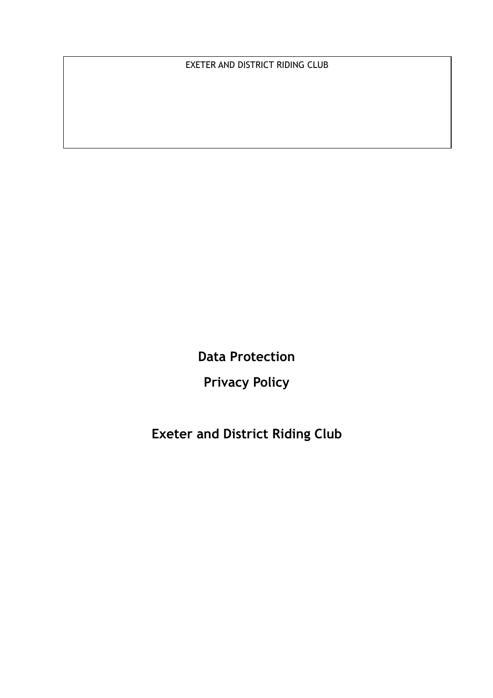EXETER AND DISTRICT RIDING CLUB

**Data Protection** 

**Privacy Policy** 

**Exeter and District Riding Club**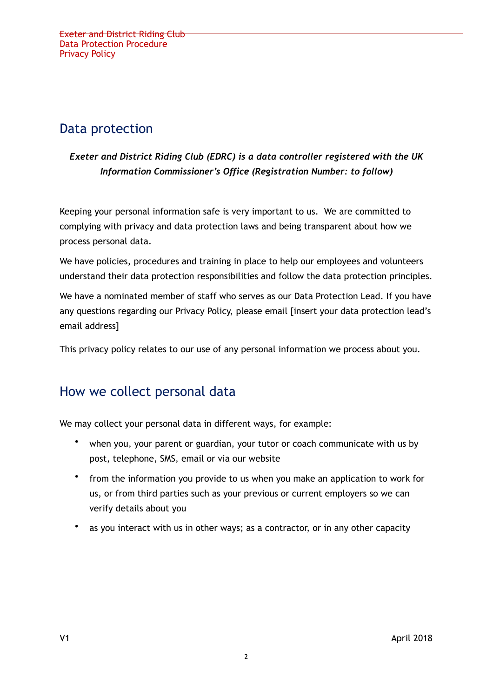# Data protection

### *Exeter and District Riding Club (EDRC) is a data controller registered with the UK [Information Commissioner's Office](https://ico.org.uk/) (Registration Number: to follow)*

Keeping your personal information safe is very important to us. We are committed to complying with privacy and data protection laws and being transparent about how we process personal data.

We have policies, procedures and training in place to help our employees and volunteers understand their data protection responsibilities and follow the data protection principles.

We have a nominated member of staff who serves as our Data Protection Lead. If you have any questions regarding our Privacy Policy, please email [insert your data protection lead's email address]

This privacy policy relates to our use of any personal information we process about you.

# How we collect personal data

We may collect your personal data in different ways, for example:

- when you, your parent or guardian, your tutor or coach communicate with us by post, telephone, SMS, email or via our website
- from the information you provide to us when you make an application to work for us, or from third parties such as your previous or current employers so we can verify details about you
- as you interact with us in other ways; as a contractor, or in any other capacity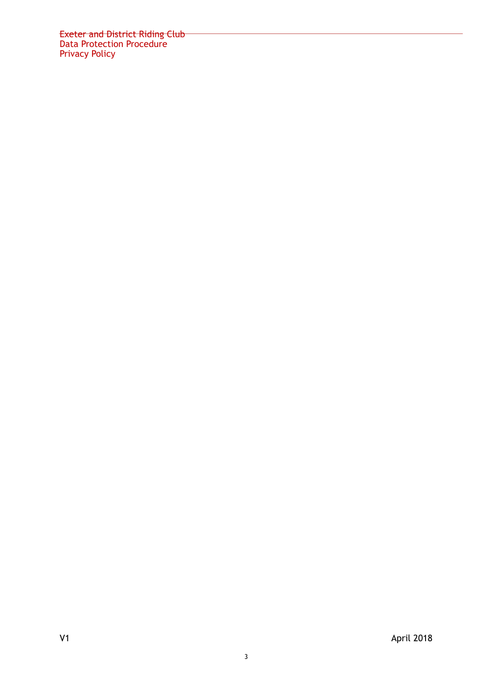#### Exeter and District Riding Club Data Protection Procedure Privacy Policy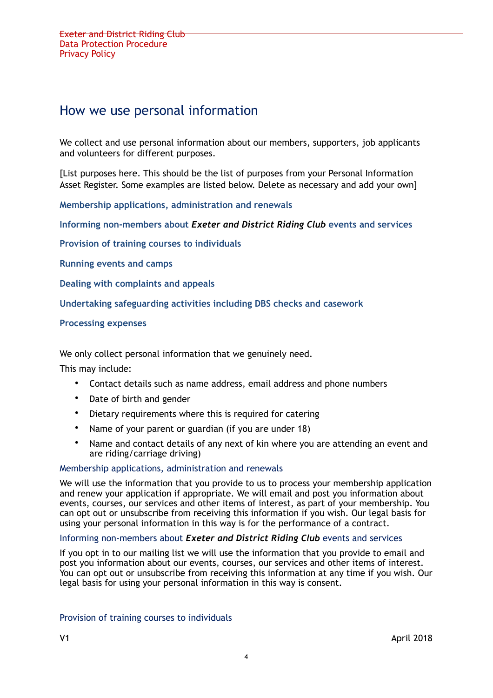## How we use personal information

We collect and use personal information about our members, supporters, job applicants and volunteers for different purposes.

[List purposes here. This should be the list of purposes from your Personal Information Asset Register. Some examples are listed below. Delete as necessary and add your own]

**[Membership applications, administration and renewals](#page-3-0)** 

**Informing non-members about** *[Exeter and District Riding Club](#page-3-1)* **events and services** 

**[Provision of training courses to individuals](#page-3-2)** 

**Running events and camps** 

**Dealing with complaints and appeals** 

**Undertaking safeguarding activities including DBS checks and casework** 

#### **[Processing expenses](#page-4-0)**

We only collect personal information that we genuinely need.

This may include:

- Contact details such as name address, email address and phone numbers
- Date of birth and gender
- Dietary requirements where this is required for catering
- Name of your parent or guardian (if you are under 18)
- Name and contact details of any next of kin where you are attending an event and are riding/carriage driving)

#### Membership applications, administration and renewals

We will use the information that you provide to us to process your membership application and renew your application if appropriate. We will email and post you information about events, courses, our services and other items of interest, as part of your membership. You can opt out or unsubscribe from receiving this information if you wish. Our legal basis for using your personal information in this way is for the performance of a contract.

#### <span id="page-3-1"></span><span id="page-3-0"></span>Informing non-members about *Exeter and District Riding Club* events and services

If you opt in to our mailing list we will use the information that you provide to email and post you information about our events, courses, our services and other items of interest. You can opt out or unsubscribe from receiving this information at any time if you wish. Our legal basis for using your personal information in this way is consent.

#### <span id="page-3-2"></span>Provision of training courses to individuals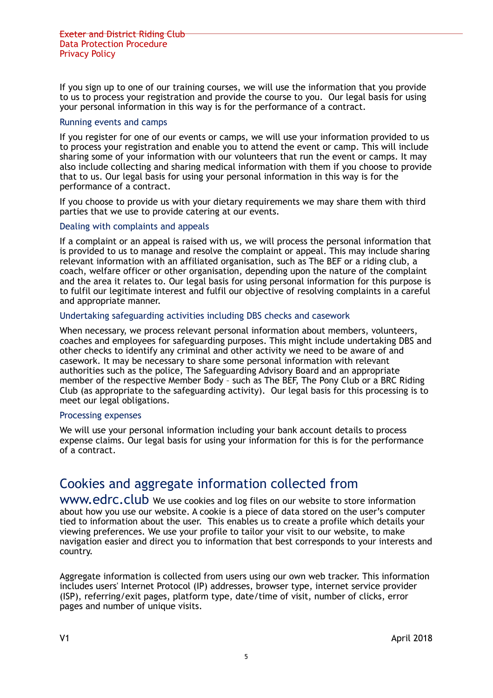If you sign up to one of our training courses, we will use the information that you provide to us to process your registration and provide the course to you. Our legal basis for using your personal information in this way is for the performance of a contract.

#### Running events and camps

If you register for one of our events or camps, we will use your information provided to us to process your registration and enable you to attend the event or camp. This will include sharing some of your information with our volunteers that run the event or camps. It may also include collecting and sharing medical information with them if you choose to provide that to us. Our legal basis for using your personal information in this way is for the performance of a contract.

If you choose to provide us with your dietary requirements we may share them with third parties that we use to provide catering at our events.

#### Dealing with complaints and appeals

If a complaint or an appeal is raised with us, we will process the personal information that is provided to us to manage and resolve the complaint or appeal. This may include sharing relevant information with an affiliated organisation, such as The BEF or a riding club, a coach, welfare officer or other organisation, depending upon the nature of the complaint and the area it relates to. Our legal basis for using personal information for this purpose is to fulfil our legitimate interest and fulfil our objective of resolving complaints in a careful and appropriate manner.

#### Undertaking safeguarding activities including DBS checks and casework

When necessary, we process relevant personal information about members, volunteers, coaches and employees for safeguarding purposes. This might include undertaking DBS and other checks to identify any criminal and other activity we need to be aware of and casework. It may be necessary to share some personal information with relevant authorities such as the police, The Safeguarding Advisory Board and an appropriate member of the respective Member Body – such as The BEF, The Pony Club or a BRC Riding Club (as appropriate to the safeguarding activity). Our legal basis for this processing is to meet our legal obligations.

#### <span id="page-4-0"></span>Processing expenses

We will use your personal information including your bank account details to process expense claims. Our legal basis for using your information for this is for the performance of a contract.

## Cookies and aggregate information collected from

www.edrc.club We use cookies and log files on our website to store information about how you use our website. A cookie is a piece of data stored on the user's computer tied to information about the user. This enables us to create a profile which details your viewing preferences. We use your profile to tailor your visit to our website, to make navigation easier and direct you to information that best corresponds to your interests and country.

Aggregate information is collected from users using our own web tracker. This information includes users' Internet Protocol (IP) addresses, browser type, internet service provider (ISP), referring/exit pages, platform type, date/time of visit, number of clicks, error pages and number of unique visits.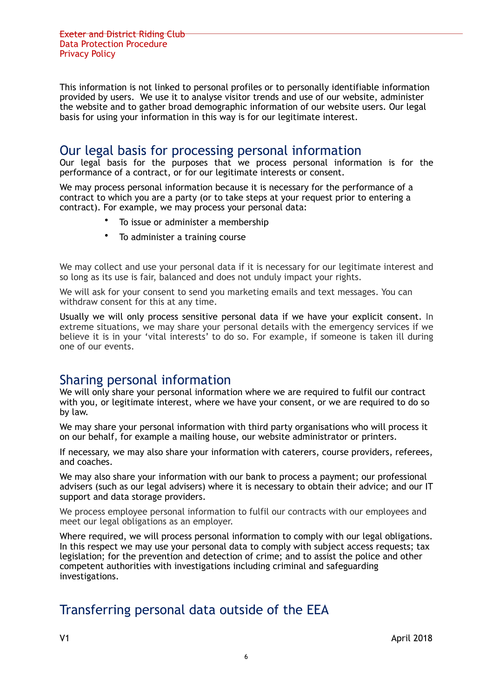Exeter and District Riding Club Data Protection Procedure Privacy Policy

This information is not linked to personal profiles or to personally identifiable information provided by users. We use it to analyse visitor trends and use of our website, administer the website and to gather broad demographic information of our website users. Our legal basis for using your information in this way is for our legitimate interest.

### Our legal basis for processing personal information

Our legal basis for the purposes that we process personal information is for the performance of a contract, or for our legitimate interests or consent.

We may process personal information because it is necessary for the performance of a contract to which you are a party (or to take steps at your request prior to entering a contract). For example, we may process your personal data:

- To issue or administer a membership
- To administer a training course

We may collect and use your personal data if it is necessary for our legitimate interest and so long as its use is fair, balanced and does not unduly impact your rights.

We will ask for your consent to send you marketing emails and text messages. You can withdraw consent for this at any time.

Usually we will only process sensitive personal data if we have your explicit consent. In extreme situations, we may share your personal details with the emergency services if we believe it is in your 'vital interests' to do so. For example, if someone is taken ill during one of our events.

### Sharing personal information

We will only share your personal information where we are required to fulfil our contract with you, or legitimate interest, where we have your consent, or we are required to do so by law.

We may share your personal information with third party organisations who will process it on our behalf, for example a mailing house, our website administrator or printers.

If necessary, we may also share your information with caterers, course providers, referees, and coaches.

We may also share your information with our bank to process a payment; our professional advisers (such as our legal advisers) where it is necessary to obtain their advice; and our IT support and data storage providers.

We process employee personal information to fulfil our contracts with our employees and meet our legal obligations as an employer.

Where required, we will process personal information to comply with our legal obligations. In this respect we may use your personal data to comply with subject access requests; tax legislation; for the prevention and detection of crime; and to assist the police and other competent authorities with investigations including criminal and safeguarding investigations.

# Transferring personal data outside of the EEA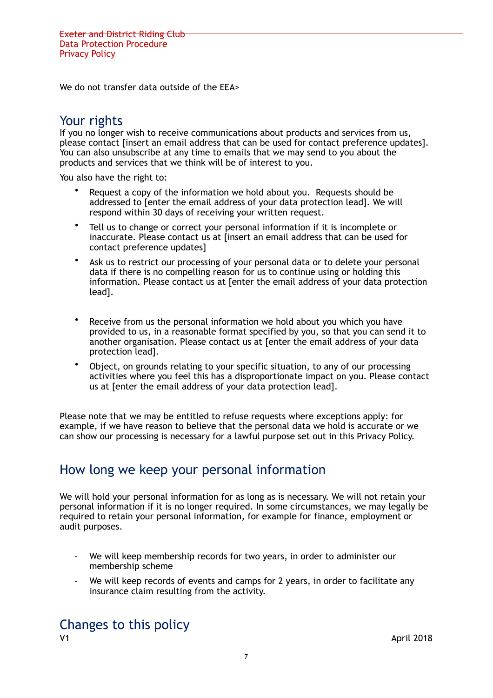We do not transfer data outside of the EEA>

## Your rights

If you no longer wish to receive communications about products and services from us, please contact [insert an email address that can be used for contact preference updates]. You can also unsubscribe at any time to emails that we may send to you about the products and services that we think will be of interest to you.

You also have the right to:

- Request a copy of the information we hold about you. Requests should be addressed to [enter the email address of your data protection lead]. We will respond within 30 days of receiving your written request.
- Tell us to change or correct your personal information if it is incomplete or inaccurate. Please contact us at [insert an email address that can be used for contact preference updates]
- Ask us to restrict our processing of your personal data or to delete your personal data if there is no compelling reason for us to continue using or holding this information. Please contact us at [enter the email address of your data protection lead].
- Receive from us the personal information we hold about you which you have provided to us, in a reasonable format specified by you, so that you can send it to another organisation. Please contact us at [enter the email address of your data protection lead].
- Object, on grounds relating to your specific situation, to any of our processing activities where you feel this has a disproportionate impact on you. Please contact us at [enter the email address of your data protection lead].

Please note that we may be entitled to refuse requests where exceptions apply: for example, if we have reason to believe that the personal data we hold is accurate or we can show our processing is necessary for a lawful purpose set out in this Privacy Policy.

## How long we keep your personal information

We will hold your personal information for as long as is necessary. We will not retain your personal information if it is no longer required. In some circumstances, we may legally be required to retain your personal information, for example for finance, employment or audit purposes.

- We will keep membership records for two years, in order to administer our membership scheme
- We will keep records of events and camps for 2 years, in order to facilitate any insurance claim resulting from the activity.

### Changes to this policy V1 April 2018